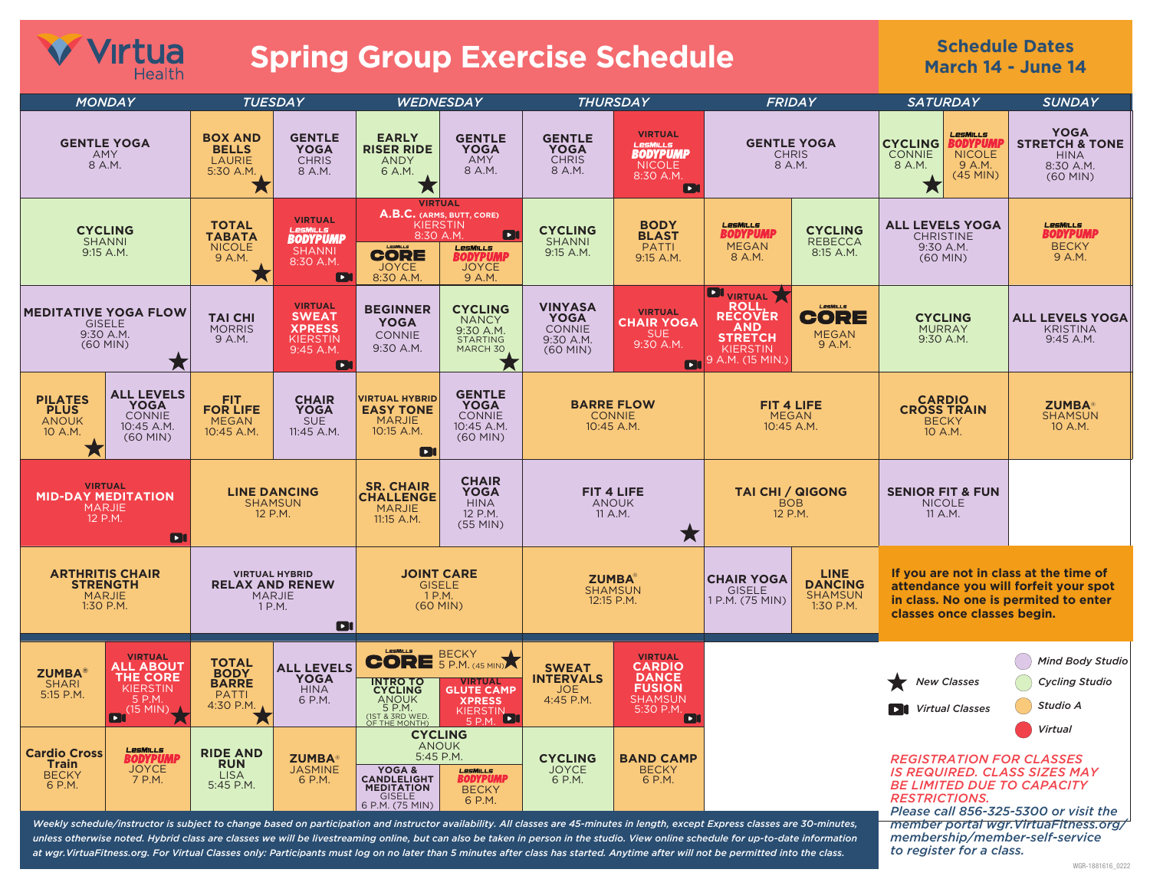## *V* **Virtua Spring Group Exercise Schedule**

## **Schedule Dates March 14 - June 14**

| <b>MONDAY</b>                                                                |                                                                                              | <b>TUESDAY</b>                                                                  |                                                                                            | <b>WEDNESDAY</b>                                                                                                                                                                       |                                                                                                                           | <b>THURSDAY</b>                                                       |                                                                                                                                                                                                                                                                                                                                                                      | FRIDAY                                                                                                                   |                                                              | <b>SATURDAY</b>                                                                                                                                                                         |  | <b>SUNDAY</b>                                                                      |
|------------------------------------------------------------------------------|----------------------------------------------------------------------------------------------|---------------------------------------------------------------------------------|--------------------------------------------------------------------------------------------|----------------------------------------------------------------------------------------------------------------------------------------------------------------------------------------|---------------------------------------------------------------------------------------------------------------------------|-----------------------------------------------------------------------|----------------------------------------------------------------------------------------------------------------------------------------------------------------------------------------------------------------------------------------------------------------------------------------------------------------------------------------------------------------------|--------------------------------------------------------------------------------------------------------------------------|--------------------------------------------------------------|-----------------------------------------------------------------------------------------------------------------------------------------------------------------------------------------|--|------------------------------------------------------------------------------------|
| <b>GENTLE YOGA</b><br>AMY<br>8 A.M.                                          |                                                                                              | <b>BOX AND</b><br><b>BELLS</b><br><b>LAURIE</b><br>5:30 A.M.<br>Х               | <b>GENTLE</b><br><b>YOGA</b><br><b>CHRIS</b><br>8 A.M.                                     | <b>EARLY</b><br><b>RISER RIDE</b><br><b>ANDY</b><br>6 A.M.<br>Х                                                                                                                        | <b>GENTLE</b><br><b>YOGA</b><br>AMY<br>8 A.M.                                                                             | <b>GENTLE</b><br><b>YOGA</b><br><b>CHRIS</b><br>8 A.M.                | <b>VIRTUAL</b><br>LesMILLS<br>BODYPUMP<br><b>NICOLE</b><br>8:30 A.M.<br>n                                                                                                                                                                                                                                                                                            |                                                                                                                          | <b>GENTLE YOGA</b><br><b>CHRIS</b><br>8 A.M.                 | LesMills<br><b>CYCLING</b><br><b>BODYPUM</b><br><b>NICOLE</b><br><b>CONNIE</b><br>8 A.M.<br>9 A.M.<br>$(45$ MIN)<br>Х                                                                   |  | <b>YOGA</b><br><b>STRETCH &amp; TONE</b><br><b>HINA</b><br>8:30 A.M.<br>$(60$ MIN) |
| <b>CYCLING</b><br><b>SHANNI</b><br>9:15 A.M.                                 |                                                                                              | <b>TOTAL</b><br><b>TABATA</b><br><b>NICOLE</b><br>9 A.M.<br>Х                   | <b>VIRTUAL</b><br>LesMILLS<br>BODYPUMP<br><b>SHANNI</b><br>8:30 A.M.<br>O                  | <b>VIRTUAL</b><br><b>KIERSTIN</b><br>8:30 A.M<br><b>CORE</b><br><b>JOYCE</b><br>8:30 A.M.                                                                                              | A.B.C. (ARMS, BUTT, CORE)<br>$\blacksquare$<br>LesMiLLs<br>BODYPUMP<br><b>JOYCE</b><br>9 A.M.                             | <b>CYCLING</b><br><b>SHANNI</b><br>9:15 A.M.                          | <b>BODY</b><br><b>BLAST</b><br><b>PATTI</b><br>9:15 A.M.                                                                                                                                                                                                                                                                                                             | LesMiLLs<br>BODYPUMP<br><b>MEGAN</b><br>8 A.M.                                                                           | <b>CYCLING</b><br><b>REBECCA</b><br>8:15 A.M.                | <b>ALL LEVELS YOGA</b><br><b>CHRISTINE</b><br>9:30 A.M.<br>(60 MIN)                                                                                                                     |  | <b>LesMiLLS</b><br><b>BODYPUMP</b><br><b>BECKY</b><br>9 A.M.                       |
| <b>MEDITATIVE YOGA FLOW</b><br><b>GISELE</b><br>9:30 A.M.<br>$(60$ MIN)<br>Х |                                                                                              | <b>TAI CHI</b><br><b>MORRIS</b><br>9 A.M.                                       | <b>VIRTUAL</b><br><b>SWEAT</b><br><b>XPRESS</b><br>KIERSTIN<br>9:45 A.M.<br>$\blacksquare$ | <b>BEGINNER</b><br><b>YOGA</b><br><b>CONNIE</b><br>9:30 A.M.                                                                                                                           | <b>CYCLING</b><br><b>NANCY</b><br>9:30 A.M.<br>STARTING<br>MARCH 30                                                       | <b>VINYASA</b><br><b>YOGA</b><br>CONNIE<br>9:30 A.M.<br>$(60$ MIN $)$ | <b>VIRTUAL</b><br><b>CHAIR YOGA</b><br>SUE<br>9:30 A.M.                                                                                                                                                                                                                                                                                                              | <b>DI</b> VIRTUAL<br><b>ROLL</b><br><b>RECOVÉR</b><br>AND<br><b>STRETCH</b><br><b>KIERSTIN</b><br>$P_1$ 9 A.M. (15 MIN.) | LesMILLS<br><b>CORE</b><br><b>MEGAN</b><br>9 A.M.            | <b>CYCLING</b><br><b>MURRAY</b><br>9:30 A.M.                                                                                                                                            |  | <b>ALL LEVELS YOGA</b><br><b>KRISTINA</b><br>9:45 A.M.                             |
| <b>PILATES</b><br><b>PLUS</b><br><b>ANOUK</b><br>10 A.M.                     | <b>ALL LEVELS</b><br><b>YOGA</b><br><b>CONNIE</b><br>10:45 A.M.<br>$(60$ MIN $)$             | <b>FIT</b><br><b>FOR LIFE</b><br><b>MEGAN</b><br>10:45 A.M.                     | <b>CHAIR</b><br><b>YOGA</b><br><b>SUE</b><br>11:45 A.M.                                    | <b>VIRTUAL HYBRID</b><br><b>EASY TONE</b><br><b>MARJIE</b><br>10:15 A.M.<br><b>D</b>                                                                                                   | <b>GENTLE</b><br><b>YOGA</b><br>CONNIE<br>10:45 A.M.<br>$(60$ MIN $)$                                                     |                                                                       | <b>BARRE FLOW</b><br><b>CONNIE</b><br>10:45 A.M.                                                                                                                                                                                                                                                                                                                     |                                                                                                                          | FIT 4 LIFE<br><b>MEGAN</b><br>10:45 A.M.                     | <b>CARDIO</b><br><b>CROSS TRAIN</b><br><b>BECKY</b><br>10 A.M.                                                                                                                          |  | <b>ZUMBA</b> ®<br><b>SHAMSUN</b><br>10 A.M.                                        |
| <b>VIRTUAL</b><br><b>MID-DAY MEDITATION</b><br><b>MARJIE</b><br>12 P.M.<br>n |                                                                                              | <b>LINE DANCING</b><br><b>SHAMSUN</b><br>12 P.M.                                |                                                                                            | <b>SR. CHAIR</b><br><b>CHALLENGE</b><br><b>MARJIE</b><br>11:15 A.M.                                                                                                                    | <b>CHAIR</b><br><b>YOGA</b><br><b>HINA</b><br>12 P.M.<br>$(55$ MIN $)$                                                    | FIT 4 LIFE<br><b>ANOUK</b><br>11 A.M.                                 | <b>TAI CHI / QIGONG</b><br><b>BOB</b><br>12 P.M.<br>★                                                                                                                                                                                                                                                                                                                |                                                                                                                          | <b>SENIOR FIT &amp; FUN</b><br><b>NICOLE</b><br>11 A.M.      |                                                                                                                                                                                         |  |                                                                                    |
| <b>ARTHRITIS CHAIR</b><br><b>STRENGTH</b><br><b>MARJIE</b><br>1:30 P.M.      |                                                                                              | <b>VIRTUAL HYBRID</b><br><b>RELAX AND RENEW</b><br><b>MARJIE</b><br>1 P.M.<br>D |                                                                                            | <b>JOINT CARE</b><br>GISELE<br>1 P.M.<br>$(60$ MIN $)$                                                                                                                                 |                                                                                                                           | <b>ZUMBA</b> ®<br><b>SHAMSUN</b><br>12:15 P.M.                        |                                                                                                                                                                                                                                                                                                                                                                      | <b>CHAIR YOGA</b><br><b>GISELE</b><br>1 P.M. (75 MIN)                                                                    | <b>LINE</b><br><b>DANCING</b><br><b>SHAMSUN</b><br>1:30 P.M. | If you are not in class at the time of<br>attendance you will forfeit your spot<br>in class. No one is permited to enter<br>classes once classes begin.                                 |  |                                                                                    |
| <b>ZUMBA</b> ®<br><b>SHARI</b><br>5:15 P.M.                                  | <b>VIRTUAL</b><br><b>ALL ABOUT</b><br><b>THE CORE</b><br>KIERSTIN<br>5 P.M.<br>(15 MIN)<br>m | <b>TOTAL</b><br><b>BODY</b><br><b>BARRE</b><br><b>PATTI</b><br>4:30 P.M.<br>人   | <b>ALL LEVELS</b><br>YOGA<br><b>HINA</b><br>6 P.M.                                         | LesMiLLs<br><b>INTRO TO</b><br>CYCLING<br>ANOUK<br>5 P.M.<br>(1ST & 3RD WED.<br>OF THE MONTH)                                                                                          | <b>BECKY</b><br><b>CORE</b> 5 P.M. (45 MIN)<br><b>VIRTUAL</b><br><b>GLUTE CAMP</b><br><b>XPRESS</b><br>KIERSTIN<br>5 P.M. | <b>SWEAT</b><br><b>INTERVALS</b><br><b>JOE</b><br>4:45 P.M.           | <b>VIRTUAL</b><br><b>CARDIO</b><br>DANCE<br><b>FUSION</b><br><b>SHAMSUN</b><br>5:30 P.M.<br>$\blacksquare$                                                                                                                                                                                                                                                           |                                                                                                                          |                                                              | <b>New Classes</b><br><b>Virtual Classes</b><br>ET                                                                                                                                      |  | <b>Mind Body Studio</b><br><b>Cycling Studio</b><br>Studio A                       |
| <b>Train</b><br><b>BECKY</b><br>6 P.M.                                       | LesMiLLs<br><b>Cardio Cross</b><br>BODYPUMI<br>Joyce<br>7 P.M.                               |                                                                                 | <b>ZUMBA®</b><br><b>JASMINE</b><br>6 P.M.                                                  | <b>CYCLING</b><br><b>ANOUK</b><br>5:45 P.M.<br>YOGA &<br>LesMiLLs<br>BODYPUMP<br><b>CANDLELIGHT</b><br><b>MEDITATION</b><br><b>BECKY</b><br><b>GISELE</b><br>6 P.M.<br>6 P.M. (75 MIN) |                                                                                                                           | <b>CYCLING</b><br><b>JOYCE</b><br>6 P.M.                              | <b>BAND CAMP</b><br><b>BECKY</b><br>6 P.M.                                                                                                                                                                                                                                                                                                                           |                                                                                                                          |                                                              | Virtual<br><b>REGISTRATION FOR CLASSES</b><br><b>IS REQUIRED. CLASS SIZES MAY</b><br><b>BE LIMITED DUE TO CAPACITY</b><br><b>RESTRICTIONS.</b><br>Please call 856-325-5300 or visit the |  |                                                                                    |
|                                                                              |                                                                                              |                                                                                 |                                                                                            |                                                                                                                                                                                        |                                                                                                                           |                                                                       | Weekly schedule/instructor is subject to change based on participation and instructor availability. All classes are 45-minutes in length, except Express classes are 30-minutes,<br>unless otherwise noted. Hybrid class are classes we will be livestreaming online, but can also be taken in person in the studio. View online schedule for up-to-date information |                                                                                                                          |                                                              |                                                                                                                                                                                         |  | member portal wgr. VirtuaFitness.org/<br>membership/member-self-service            |

*unless otherwise noted. Hybrid class are classes we will be livestreaming online, but can also be taken in person in the studio. View online schedule for up-to-date information at wgr.VirtuaFitness.org. For Virtual Classes only: Participants must log on no later than 5 minutes after class has started. Anytime after will not be permitted into the class.*

*to register for a class.*